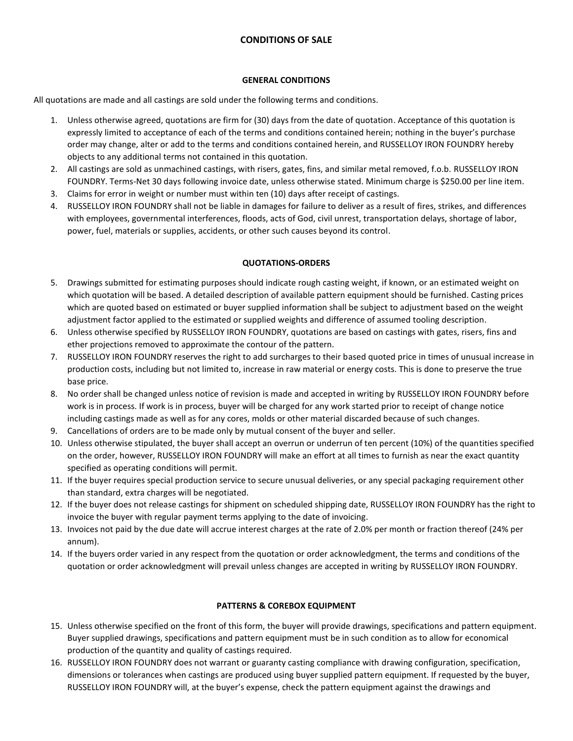# **CONDITIONS OF SALE**

### **GENERAL CONDITIONS**

All quotations are made and all castings are sold under the following terms and conditions.

- 1. Unless otherwise agreed, quotations are firm for (30) days from the date of quotation. Acceptance of this quotation is expressly limited to acceptance of each of the terms and conditions contained herein; nothing in the buyer's purchase order may change, alter or add to the terms and conditions contained herein, and RUSSELLOY IRON FOUNDRY hereby objects to any additional terms not contained in this quotation.
- 2. All castings are sold as unmachined castings, with risers, gates, fins, and similar metal removed, f.o.b. RUSSELLOY IRON FOUNDRY. Terms-Net 30 days following invoice date, unless otherwise stated. Minimum charge is \$250.00 per line item.
- 3. Claims for error in weight or number must within ten (10) days after receipt of castings.
- 4. RUSSELLOY IRON FOUNDRY shall not be liable in damages for failure to deliver as a result of fires, strikes, and differences with employees, governmental interferences, floods, acts of God, civil unrest, transportation delays, shortage of labor, power, fuel, materials or supplies, accidents, or other such causes beyond its control.

## **QUOTATIONS-ORDERS**

- 5. Drawings submitted for estimating purposes should indicate rough casting weight, if known, or an estimated weight on which quotation will be based. A detailed description of available pattern equipment should be furnished. Casting prices which are quoted based on estimated or buyer supplied information shall be subject to adjustment based on the weight adjustment factor applied to the estimated or supplied weights and difference of assumed tooling description.
- 6. Unless otherwise specified by RUSSELLOY IRON FOUNDRY, quotations are based on castings with gates, risers, fins and ether projections removed to approximate the contour of the pattern.
- 7. RUSSELLOY IRON FOUNDRY reserves the right to add surcharges to their based quoted price in times of unusual increase in production costs, including but not limited to, increase in raw material or energy costs. This is done to preserve the true base price.
- 8. No order shall be changed unless notice of revision is made and accepted in writing by RUSSELLOY IRON FOUNDRY before work is in process. If work is in process, buyer will be charged for any work started prior to receipt of change notice including castings made as well as for any cores, molds or other material discarded because of such changes.
- 9. Cancellations of orders are to be made only by mutual consent of the buyer and seller.
- 10. Unless otherwise stipulated, the buyer shall accept an overrun or underrun of ten percent (10%) of the quantities specified on the order, however, RUSSELLOY IRON FOUNDRY will make an effort at all times to furnish as near the exact quantity specified as operating conditions will permit.
- 11. If the buyer requires special production service to secure unusual deliveries, or any special packaging requirement other than standard, extra charges will be negotiated.
- 12. If the buyer does not release castings for shipment on scheduled shipping date, RUSSELLOY IRON FOUNDRY has the right to invoice the buyer with regular payment terms applying to the date of invoicing.
- 13. Invoices not paid by the due date will accrue interest charges at the rate of 2.0% per month or fraction thereof (24% per annum).
- 14. If the buyers order varied in any respect from the quotation or order acknowledgment, the terms and conditions of the quotation or order acknowledgment will prevail unless changes are accepted in writing by RUSSELLOY IRON FOUNDRY.

## **PATTERNS & COREBOX EQUIPMENT**

- 15. Unless otherwise specified on the front of this form, the buyer will provide drawings, specifications and pattern equipment. Buyer supplied drawings, specifications and pattern equipment must be in such condition as to allow for economical production of the quantity and quality of castings required.
- 16. RUSSELLOY IRON FOUNDRY does not warrant or guaranty casting compliance with drawing configuration, specification, dimensions or tolerances when castings are produced using buyer supplied pattern equipment. If requested by the buyer, RUSSELLOY IRON FOUNDRY will, at the buyer's expense, check the pattern equipment against the drawings and